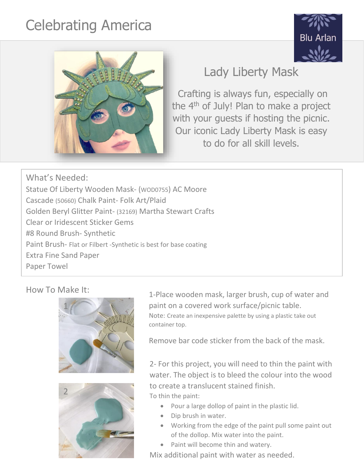## Celebrating America





## Lady Liberty Mask

Crafting is always fun, especially on the 4<sup>th</sup> of July! Plan to make a project with your guests if hosting the picnic. Our iconic Lady Liberty Mask is easy to do for all skill levels.

What's Needed: Statue Of Liberty Wooden Mask- (WOD0755) AC Moore Cascade (50660) Chalk Paint- Folk Art/Plaid Golden Beryl Glitter Paint- (32169) Martha Stewart Crafts Clear or Iridescent Sticker Gems #8 Round Brush- Synthetic Paint Brush- Flat or Filbert -Synthetic is best for base coating Extra Fine Sand Paper Paper Towel





How To Make It: 1-Place wooden mask, larger brush, cup of water and paint on a covered work surface/picnic table. Note: Create an inexpensive palette by using a plastic take out container top.

Remove bar code sticker from the back of the mask.

2- For this project, you will need to thin the paint with water. The object is to bleed the colour into the wood to create a translucent stained finish. To thin the paint:

- Pour a large dollop of paint in the plastic lid.
- Dip brush in water.
- Working from the edge of the paint pull some paint out of the dollop. Mix water into the paint.
- Paint will become thin and watery.

Mix additional paint with water as needed.